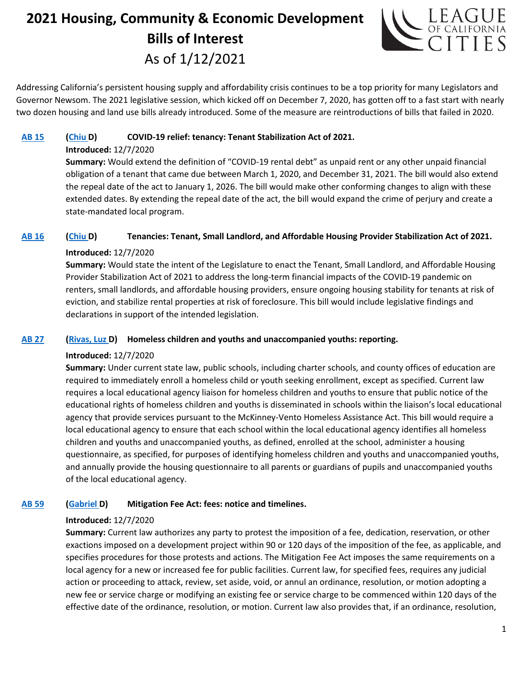# **2021 Housing, Community & Economic Development Bills of Interest** As of 1/12/2021



Addressing California's persistent housing supply and affordability crisis continues to be a top priority for many Legislators and Governor Newsom. The 2021 legislative session, which kicked off on December 7, 2020, has gotten off to a fast start with nearly two dozen housing and land use bills already introduced. Some of the measure are reintroductions of bills that failed in 2020.

## **[AB 15](http://ctweb.capitoltrack.com/public/publishbillinfo.aspx?bi=6EkJ2mXyMMLE8kS02D6DU15kGTHutc0Z%2bFOyvoCptj9rZUVr3uIeIS7RaWVrChj2) [\(Chiu D](https://a17.asmdc.org/)) COVID-19 relief: tenancy: Tenant Stabilization Act of 2021.**

#### **Introduced:** 12/7/2020

**Summary:** Would extend the definition of "COVID-19 rental debt" as unpaid rent or any other unpaid financial obligation of a tenant that came due between March 1, 2020, and December 31, 2021. The bill would also extend the repeal date of the act to January 1, 2026. The bill would make other conforming changes to align with these extended dates. By extending the repeal date of the act, the bill would expand the crime of perjury and create a state-mandated local program.

#### **[AB 16](http://ctweb.capitoltrack.com/public/publishbillinfo.aspx?bi=%2bkFr1CYVoPBLJXAhzOffSiHlNNFdCxO9At%2fUjIOoHGrVQjUiDxIcHRilTE0ZBxuv) [\(Chiu D](https://a17.asmdc.org/)) Tenancies: Tenant, Small Landlord, and Affordable Housing Provider Stabilization Act of 2021.**

## **Introduced:** 12/7/2020

**Summary:** Would state the intent of the Legislature to enact the Tenant, Small Landlord, and Affordable Housing Provider Stabilization Act of 2021 to address the long-term financial impacts of the COVID-19 pandemic on renters, small landlords, and affordable housing providers, ensure ongoing housing stability for tenants at risk of eviction, and stabilize rental properties at risk of foreclosure. This bill would include legislative findings and declarations in support of the intended legislation.

## **[AB 27](http://ctweb.capitoltrack.com/public/publishbillinfo.aspx?bi=%2b%2bQeqXb67%2fT%2bppoWqOT39kVQaVfDkgnkfaXBEz2u6rDZo5SuYECPhj5Q7UD1Ju7H) [\(Rivas, Luz D](https://a39.asmdc.org/)) Homeless children and youths and unaccompanied youths: reporting.**

## **Introduced:** 12/7/2020

**Summary:** Under current state law, public schools, including charter schools, and county offices of education are required to immediately enroll a homeless child or youth seeking enrollment, except as specified. Current law requires a local educational agency liaison for homeless children and youths to ensure that public notice of the educational rights of homeless children and youths is disseminated in schools within the liaison's local educational agency that provide services pursuant to the McKinney-Vento Homeless Assistance Act. This bill would require a local educational agency to ensure that each school within the local educational agency identifies all homeless children and youths and unaccompanied youths, as defined, enrolled at the school, administer a housing questionnaire, as specified, for purposes of identifying homeless children and youths and unaccompanied youths, and annually provide the housing questionnaire to all parents or guardians of pupils and unaccompanied youths of the local educational agency.

## **[AB 59](http://ctweb.capitoltrack.com/public/publishbillinfo.aspx?bi=hhMq%2bb5PqI6SllkkhdozbrFGPWpGHbc7UnLOXoQGFlj8fAHajnKEvwxWS8TcMJzL) [\(Gabriel D](https://a45.asmdc.org/)) Mitigation Fee Act: fees: notice and timelines.**

## **Introduced:** 12/7/2020

**Summary:** Current law authorizes any party to protest the imposition of a fee, dedication, reservation, or other exactions imposed on a development project within 90 or 120 days of the imposition of the fee, as applicable, and specifies procedures for those protests and actions. The Mitigation Fee Act imposes the same requirements on a local agency for a new or increased fee for public facilities. Current law, for specified fees, requires any judicial action or proceeding to attack, review, set aside, void, or annul an ordinance, resolution, or motion adopting a new fee or service charge or modifying an existing fee or service charge to be commenced within 120 days of the effective date of the ordinance, resolution, or motion. Current law also provides that, if an ordinance, resolution,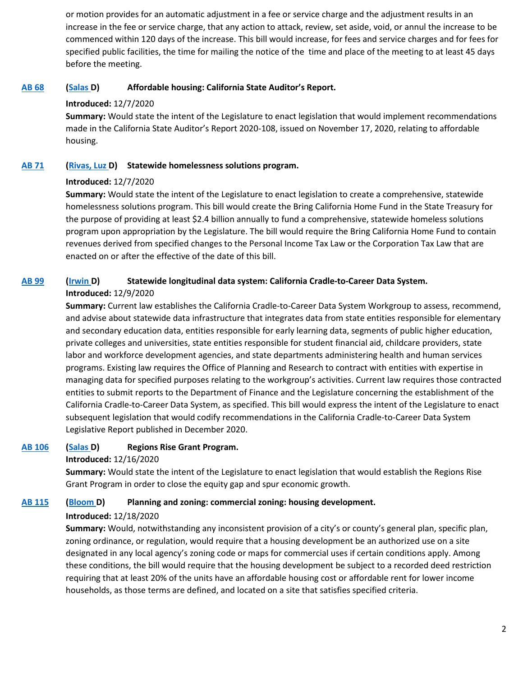or motion provides for an automatic adjustment in a fee or service charge and the adjustment results in an increase in the fee or service charge, that any action to attack, review, set aside, void, or annul the increase to be commenced within 120 days of the increase. This bill would increase, for fees and service charges and for fees for specified public facilities, the time for mailing the notice of the time and place of the meeting to at least 45 days before the meeting.

## **[AB 68](http://ctweb.capitoltrack.com/public/publishbillinfo.aspx?bi=C0r7Tji1WAXFLH2KiAq5vDm%2fB3IC%2bVB9pk9wW95y%2fnhiTy0bkT5C6K69TZamulWl) [\(Salas D](https://a32.asmdc.org/)) Affordable housing: California State Auditor's Report.**

## **Introduced:** 12/7/2020

**Summary:** Would state the intent of the Legislature to enact legislation that would implement recommendations made in the California State Auditor's Report 2020-108, issued on November 17, 2020, relating to affordable housing.

## **[AB 71](http://ctweb.capitoltrack.com/public/publishbillinfo.aspx?bi=ipi0Sj0FEj0l6HUcfTLFPhOlLjnnjohulM9TTMmhE2W6h6rtLA51sbNAp9Y6QDVK) [\(Rivas, Luz D](https://a39.asmdc.org/)) Statewide homelessness solutions program.**

## **Introduced:** 12/7/2020

**Summary:** Would state the intent of the Legislature to enact legislation to create a comprehensive, statewide homelessness solutions program. This bill would create the Bring California Home Fund in the State Treasury for the purpose of providing at least \$2.4 billion annually to fund a comprehensive, statewide homeless solutions program upon appropriation by the Legislature. The bill would require the Bring California Home Fund to contain revenues derived from specified changes to the Personal Income Tax Law or the Corporation Tax Law that are enacted on or after the effective of the date of this bill.

## **[AB 99](http://ctweb.capitoltrack.com/public/publishbillinfo.aspx?bi=5EQPCBiogOFMahl%2f7xJ3jzdGh7UPMl4ooN7Yv1jRWBzwUaPCyFsz17AeBt1lHLcR) [\(Irwin D](https://a44.asmdc.org/)) Statewide longitudinal data system: California Cradle-to-Career Data System. Introduced:** 12/9/2020

**Summary:** Current law establishes the California Cradle-to-Career Data System Workgroup to assess, recommend, and advise about statewide data infrastructure that integrates data from state entities responsible for elementary and secondary education data, entities responsible for early learning data, segments of public higher education, private colleges and universities, state entities responsible for student financial aid, childcare providers, state labor and workforce development agencies, and state departments administering health and human services programs. Existing law requires the Office of Planning and Research to contract with entities with expertise in managing data for specified purposes relating to the workgroup's activities. Current law requires those contracted entities to submit reports to the Department of Finance and the Legislature concerning the establishment of the California Cradle-to-Career Data System, as specified. This bill would express the intent of the Legislature to enact subsequent legislation that would codify recommendations in the California Cradle-to-Career Data System Legislative Report published in December 2020.

## **[AB 106](http://ctweb.capitoltrack.com/public/publishbillinfo.aspx?bi=S4tka4c5RCFIrXg6%2fXJW7zILJ80v%2fx558jffduJfpHD1enrQVZVnDFZZMjkFxASF) [\(Salas D](https://a32.asmdc.org/)) Regions Rise Grant Program.**

## **Introduced:** 12/16/2020

**Summary:** Would state the intent of the Legislature to enact legislation that would establish the Regions Rise Grant Program in order to close the equity gap and spur economic growth.

## **[AB 115](http://ctweb.capitoltrack.com/public/publishbillinfo.aspx?bi=2ldphSh2Hn4pI%2bPESMtAVVLDOLVWENpSpbbCRtDpAH%2bYNzDxDekzUUQNH7JNIYWo) [\(Bloom D](https://a50.asmdc.org/)) Planning and zoning: commercial zoning: housing development.**

## **Introduced:** 12/18/2020

**Summary:** Would, notwithstanding any inconsistent provision of a city's or county's general plan, specific plan, zoning ordinance, or regulation, would require that a housing development be an authorized use on a site designated in any local agency's zoning code or maps for commercial uses if certain conditions apply. Among these conditions, the bill would require that the housing development be subject to a recorded deed restriction requiring that at least 20% of the units have an affordable housing cost or affordable rent for lower income households, as those terms are defined, and located on a site that satisfies specified criteria.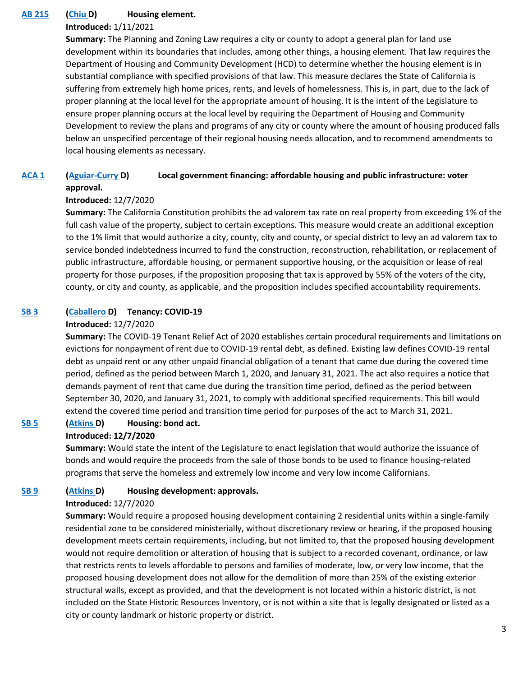## **[AB 215](http://ctweb.capitoltrack.com/public/publishbillinfo.aspx?bi=tfp6Q6P40%2bm324V%2f7FYLwUvkhKXLO1inMgiapcl0EPfnXxo9Fa8jENMPoK6InAzc) [\(Chiu D](https://a17.asmdc.org/)) Housing element.**

#### **Introduced:** 1/11/2021

**Summary:** The Planning and Zoning Law requires a city or county to adopt a general plan for land use development within its boundaries that includes, among other things, a housing element. That law requires the Department of Housing and Community Development (HCD) to determine whether the housing element is in substantial compliance with specified provisions of that law. This measure declares the State of California is suffering from extremely high home prices, rents, and levels of homelessness. This is, in part, due to the lack of proper planning at the local level for the appropriate amount of housing. It is the intent of the Legislature to ensure proper planning occurs at the local level by requiring the Department of Housing and Community Development to review the plans and programs of any city or county where the amount of housing produced falls below an unspecified percentage of their regional housing needs allocation, and to recommend amendments to local housing elements as necessary.

# **[ACA 1](http://ctweb.capitoltrack.com/public/publishbillinfo.aspx?bi=jVt1al37xirL0Gb9YJJbROxsKJsSMki14TnfV7eTdWGkmMFmersEFl4CXZ3sT8s5) [\(Aguiar-Curry D](https://a04.asmdc.org/)) Local government financing: affordable housing and public infrastructure: voter approval.**

#### **Introduced:** 12/7/2020

**Summary:** The California Constitution prohibits the ad valorem tax rate on real property from exceeding 1% of the full cash value of the property, subject to certain exceptions. This measure would create an additional exception to the 1% limit that would authorize a city, county, city and county, or special district to levy an ad valorem tax to service bonded indebtedness incurred to fund the construction, reconstruction, rehabilitation, or replacement of public infrastructure, affordable housing, or permanent supportive housing, or the acquisition or lease of real property for those purposes, if the proposition proposing that tax is approved by 55% of the voters of the city, county, or city and county, as applicable, and the proposition includes specified accountability requirements.

#### **[SB 3](http://ctweb.capitoltrack.com/public/publishbillinfo.aspx?bi=Iov3az45cJkI3ARxogNKOBDcHKIZ%2bZHOeYodBSfJZRdJiHd9Kt0kNCWePqomjlBn) [\(Caballero D](https://sd12.senate.ca.gov/)) Tenancy: COVID-19**

#### **Introduced:** 12/7/2020

**Summary:** The COVID-19 Tenant Relief Act of 2020 establishes certain procedural requirements and limitations on evictions for nonpayment of rent due to COVID-19 rental debt, as defined. Existing law defines COVID-19 rental debt as unpaid rent or any other unpaid financial obligation of a tenant that came due during the covered time period, defined as the period between March 1, 2020, and January 31, 2021. The act also requires a notice that demands payment of rent that came due during the transition time period, defined as the period between September 30, 2020, and January 31, 2021, to comply with additional specified requirements. This bill would extend the covered time period and transition time period for purposes of the act to March 31, 2021.

## **[SB 5](http://ctweb.capitoltrack.com/public/publishbillinfo.aspx?bi=MIWG2pBUHeIOGymc%2b%2bi4efRv7KbH%2b7%2fjceCl0f5AnYoHB0nz83SlMuJWw4f2o1Qj) [\(Atkins D](http://sd39.senate.ca.gov/)) Housing: bond act.**

#### **Introduced: 12/7/2020**

**Summary:** Would state the intent of the Legislature to enact legislation that would authorize the issuance of bonds and would require the proceeds from the sale of those bonds to be used to finance housing-related programs that serve the homeless and extremely low income and very low income Californians.

#### **[SB 9](http://ctweb.capitoltrack.com/public/publishbillinfo.aspx?bi=MZH3jKB1hAwlN%2fFx14oYyv%2fPbadENsqHmQLxURJGvx%2b0lHwfCc6DsaPO0vBza%2bbJ) [\(Atkins D](http://sd39.senate.ca.gov/)) Housing development: approvals.**

#### **Introduced:** 12/7/2020

**Summary:** Would require a proposed housing development containing 2 residential units within a single-family residential zone to be considered ministerially, without discretionary review or hearing, if the proposed housing development meets certain requirements, including, but not limited to, that the proposed housing development would not require demolition or alteration of housing that is subject to a recorded covenant, ordinance, or law that restricts rents to levels affordable to persons and families of moderate, low, or very low income, that the proposed housing development does not allow for the demolition of more than 25% of the existing exterior structural walls, except as provided, and that the development is not located within a historic district, is not included on the State Historic Resources Inventory, or is not within a site that is legally designated or listed as a city or county landmark or historic property or district.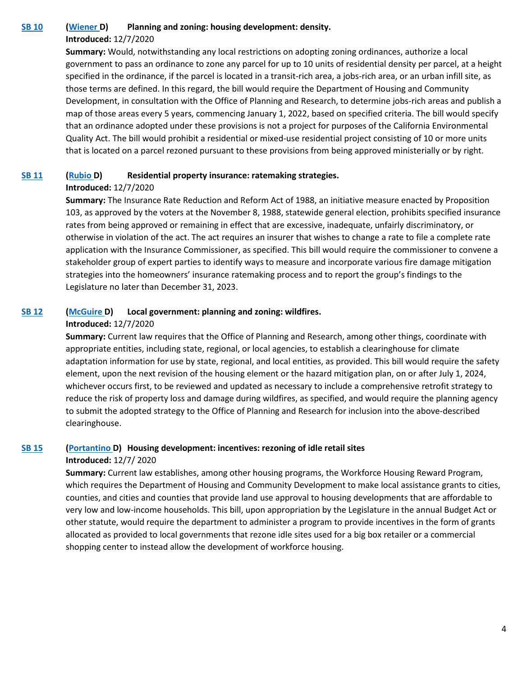#### **[SB 10](http://ctweb.capitoltrack.com/public/publishbillinfo.aspx?bi=vVNCiiGCAcQrRs9j3%2bND%2bYXPIoAW7mlGxczLKxI%2f2TiiNgBnJ%2fl%2bK3%2bLiY8REQy1) [\(Wiener D](http://sd11.senate.ca.gov/)) Planning and zoning: housing development: density.**

#### **Introduced:** 12/7/2020

**Summary:** Would, notwithstanding any local restrictions on adopting zoning ordinances, authorize a local government to pass an ordinance to zone any parcel for up to 10 units of residential density per parcel, at a height specified in the ordinance, if the parcel is located in a transit-rich area, a jobs-rich area, or an urban infill site, as those terms are defined. In this regard, the bill would require the Department of Housing and Community Development, in consultation with the Office of Planning and Research, to determine jobs-rich areas and publish a map of those areas every 5 years, commencing January 1, 2022, based on specified criteria. The bill would specify that an ordinance adopted under these provisions is not a project for purposes of the California Environmental Quality Act. The bill would prohibit a residential or mixed-use residential project consisting of 10 or more units that is located on a parcel rezoned pursuant to these provisions from being approved ministerially or by right.

#### **[SB 11](http://ctweb.capitoltrack.com/public/publishbillinfo.aspx?bi=Nxf7s9elG6gNxNrwgeuNGb0If7ZCvX4tG%2flbAE79N%2feRQoQtvvpPncTn11k3I79u) [\(Rubio D](http://sd22.senate.ca.gov/)) Residential property insurance: ratemaking strategies.**

#### **Introduced:** 12/7/2020

**Summary:** The Insurance Rate Reduction and Reform Act of 1988, an initiative measure enacted by Proposition 103, as approved by the voters at the November 8, 1988, statewide general election, prohibits specified insurance rates from being approved or remaining in effect that are excessive, inadequate, unfairly discriminatory, or otherwise in violation of the act. The act requires an insurer that wishes to change a rate to file a complete rate application with the Insurance Commissioner, as specified. This bill would require the commissioner to convene a stakeholder group of expert parties to identify ways to measure and incorporate various fire damage mitigation strategies into the homeowners' insurance ratemaking process and to report the group's findings to the Legislature no later than December 31, 2023.

## **[SB 12](http://ctweb.capitoltrack.com/public/publishbillinfo.aspx?bi=AU777M9kMx4q2051Bzyxujdb7r2LI8spHR6XmMCd6GiuCA5gCDx7ekut%2fALyG7H5) [\(McGuire D](http://sd02.senate.ca.gov/)) Local government: planning and zoning: wildfires.**

#### **Introduced:** 12/7/2020

**Summary:** Current law requires that the Office of Planning and Research, among other things, coordinate with appropriate entities, including state, regional, or local agencies, to establish a clearinghouse for climate adaptation information for use by state, regional, and local entities, as provided. This bill would require the safety element, upon the next revision of the housing element or the hazard mitigation plan, on or after July 1, 2024, whichever occurs first, to be reviewed and updated as necessary to include a comprehensive retrofit strategy to reduce the risk of property loss and damage during wildfires, as specified, and would require the planning agency to submit the adopted strategy to the Office of Planning and Research for inclusion into the above-described clearinghouse.

# **[SB 15](http://ctweb.capitoltrack.com/public/publishbillinfo.aspx?bi=IftCdC%2bYVtY%2fTbEyxSCjYBqtSNJPJwQx6M623hj78deTSerA8decAyvmaUb74joK) [\(Portantino D](http://sd25.senate.ca.gov/)) Housing development: incentives: rezoning of idle retail sites**

#### **Introduced:** 12/7/ 2020

**Summary:** Current law establishes, among other housing programs, the Workforce Housing Reward Program, which requires the Department of Housing and Community Development to make local assistance grants to cities, counties, and cities and counties that provide land use approval to housing developments that are affordable to very low and low-income households. This bill, upon appropriation by the Legislature in the annual Budget Act or other statute, would require the department to administer a program to provide incentives in the form of grants allocated as provided to local governments that rezone idle sites used for a big box retailer or a commercial shopping center to instead allow the development of workforce housing.